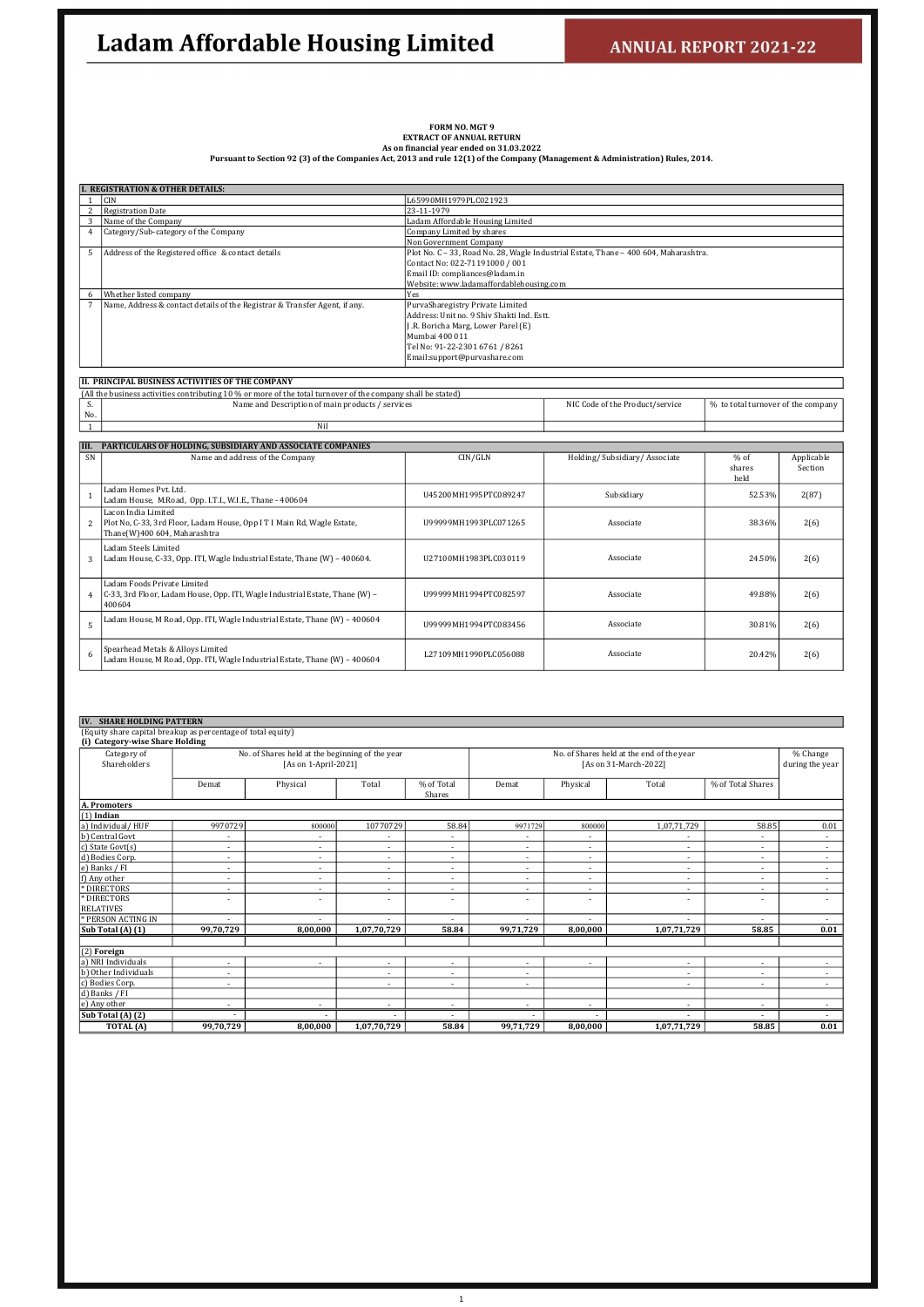# FORM NO. MGT 9<br>EXTRACT OF ANNUAL RETURN<br>Pursuant to Section 92 (3) of the Companies Act, 2013 and rule 12(1) of the Company (Management & Administration) Rules, 2014.

|                | <b>I. REGISTRATION &amp; OTHER DETAILS:</b>                                |                                                                                      |  |  |  |  |  |  |
|----------------|----------------------------------------------------------------------------|--------------------------------------------------------------------------------------|--|--|--|--|--|--|
|                | <b>CIN</b>                                                                 | L65990MH1979PLC021923                                                                |  |  |  |  |  |  |
|                | Registration Date                                                          | 23-11-1979                                                                           |  |  |  |  |  |  |
| 3              | Name of the Company                                                        | Ladam Affordable Housing Limited                                                     |  |  |  |  |  |  |
| $\overline{4}$ | Category/Sub-category of the Company                                       | Company Limited by shares                                                            |  |  |  |  |  |  |
|                |                                                                            | Non Government Company                                                               |  |  |  |  |  |  |
| 5              | Address of the Registered office & contact details                         | Plot No. C - 33, Road No. 28, Wagle Industrial Estate, Thane - 400 604, Maharashtra. |  |  |  |  |  |  |
|                |                                                                            | Contact No: 022-71191000 / 001                                                       |  |  |  |  |  |  |
|                |                                                                            | Email ID: compliances@ladam.in                                                       |  |  |  |  |  |  |
|                |                                                                            | Website: www.ladamaffordablehousing.com                                              |  |  |  |  |  |  |
| 6              | Whether listed company                                                     | Yes                                                                                  |  |  |  |  |  |  |
|                | Name, Address & contact details of the Registrar & Transfer Agent, if any. | PurvaSharegistry Private Limited                                                     |  |  |  |  |  |  |
|                |                                                                            | Address: Unit no. 9 Shiv Shakti Ind. Estt.                                           |  |  |  |  |  |  |
|                |                                                                            | J.R. Boricha Marg, Lower Parel (E)                                                   |  |  |  |  |  |  |
|                |                                                                            | Mumbai 400 011                                                                       |  |  |  |  |  |  |
|                |                                                                            | Tel No: 91-22-2301 6761 / 8261                                                       |  |  |  |  |  |  |
|                |                                                                            | Email:support@purvashare.com                                                         |  |  |  |  |  |  |
|                |                                                                            |                                                                                      |  |  |  |  |  |  |

#### II. PRINCIPAL BUSINESS ACTIVITIES OF THE COMPANY

|                | (All the business activities contributing 10 % or more of the total turnover of the company shall be stated)                   |                        |                                 |                                    |                       |  |  |  |  |
|----------------|--------------------------------------------------------------------------------------------------------------------------------|------------------------|---------------------------------|------------------------------------|-----------------------|--|--|--|--|
| S.             | Name and Description of main products / services                                                                               |                        | NIC Code of the Product/service | % to total turnover of the company |                       |  |  |  |  |
| No.            |                                                                                                                                |                        |                                 |                                    |                       |  |  |  |  |
|                | Nil                                                                                                                            |                        |                                 |                                    |                       |  |  |  |  |
|                |                                                                                                                                |                        |                                 |                                    |                       |  |  |  |  |
| III.           | PARTICULARS OF HOLDING, SUBSIDIARY AND ASSOCIATE COMPANIES                                                                     |                        |                                 |                                    |                       |  |  |  |  |
| SN             | Name and address of the Company                                                                                                | CIN/GLN                | Holding/Subsidiary/Associate    | $%$ of<br>shares                   | Applicable<br>Section |  |  |  |  |
|                |                                                                                                                                |                        |                                 | held                               |                       |  |  |  |  |
|                | Ladam Homes Pvt. Ltd.<br>Ladam House, M.Road, Opp. I.T.I., W.I.E., Thane - 400604                                              | U45200MH1995PTC089247  | Subsidiary                      | 52.53%                             | 2(87)                 |  |  |  |  |
| $\overline{2}$ | Lacon India Limited<br>Plot No, C-33, 3rd Floor, Ladam House, Opp I T I Main Rd, Wagle Estate,<br>Thane(W)400 604, Maharashtra | U99999MH1993PLC071265  | Associate                       | 38.36%                             | 2(6)                  |  |  |  |  |
| 3              | Ladam Steels Limited<br>Ladam House, C-33, Opp. ITI, Wagle Industrial Estate, Thane (W) - 400604.                              | U27100MH1983PLC030119  | Associate                       | 24.50%                             | 2(6)                  |  |  |  |  |
|                | Ladam Foods Private Limited<br>4 C-33, 3rd Floor, Ladam House, Opp. ITI, Wagle Industrial Estate, Thane (W) -<br>400604        | IJ99999MH1994PTC082597 | Associate                       | 49.88%                             | 2(6)                  |  |  |  |  |
| 5              | Ladam House, M Road, Opp. ITI, Wagle Industrial Estate, Thane (W) - 400604                                                     | U99999MH1994PTC083456  | Associate                       | 30.81%                             | 2(6)                  |  |  |  |  |
| 6              | Spearhead Metals & Alloys Limited<br>Ladam House, M Road, Opp. ITI, Wagle Industrial Estate, Thane (W) - 400604                | L27109MH1990PLC056088  | Associate                       | 20.42%                             | 2(6)                  |  |  |  |  |

| <b>IV. SHARE HOLDING PATTERN</b>                             |                          |                                                 |                          |                          |                          |                          |                                           |                          |                          |
|--------------------------------------------------------------|--------------------------|-------------------------------------------------|--------------------------|--------------------------|--------------------------|--------------------------|-------------------------------------------|--------------------------|--------------------------|
| (Equity share capital breakup as percentage of total equity) |                          |                                                 |                          |                          |                          |                          |                                           |                          |                          |
| (i) Category-wise Share Holding                              |                          |                                                 |                          |                          |                          |                          |                                           |                          |                          |
| Category of                                                  |                          | No. of Shares held at the beginning of the year |                          |                          |                          |                          | No. of Shares held at the end of the year |                          | % Change                 |
| Shareholders                                                 |                          | [As on 1-April-2021]                            |                          |                          |                          |                          | [As on 31-March-2022]                     |                          | during the year          |
|                                                              |                          |                                                 |                          |                          |                          |                          |                                           |                          |                          |
|                                                              | Demat                    | Physical                                        | Total                    | % of Total               | Demat                    | Physical                 | Total                                     | % of Total Shares        |                          |
|                                                              |                          |                                                 |                          | Shares                   |                          |                          |                                           |                          |                          |
| A. Promoters                                                 |                          |                                                 |                          |                          |                          |                          |                                           |                          |                          |
| $(1)$ Indian                                                 |                          |                                                 |                          |                          |                          |                          |                                           |                          |                          |
| a) Individual/HUF                                            | 9970729                  | 800000                                          | 10770729                 | 58.84                    | 9971729                  | 800000                   | 1,07,71,729                               | 58.85                    | 0.01                     |
| b) Central Govt                                              | $\overline{\phantom{a}}$ | $\overline{\phantom{a}}$                        |                          | $\overline{\phantom{0}}$ |                          | $\overline{\phantom{a}}$ |                                           |                          | $\overline{\phantom{a}}$ |
| c) State Govt(s)                                             | $\overline{\phantom{a}}$ | $\overline{\phantom{a}}$                        | $\overline{\phantom{a}}$ | $\overline{\phantom{a}}$ | $\sim$                   | $\sim$                   | $\sim$                                    | $\sim$                   | $\sim$                   |
| d) Bodies Corp.                                              | $\overline{\phantom{a}}$ | $\overline{\phantom{a}}$                        | $\sim$                   | $\sim$                   | $\sim$                   | $\sim$                   | $\sim$                                    | $\sim$                   | $\sim$                   |
| e) Banks / FI                                                | $\overline{\phantom{a}}$ | $\overline{\phantom{a}}$                        | $\overline{\phantom{a}}$ | $\sim$                   | $\sim$                   | $\sim$                   | $\overline{\phantom{a}}$                  | $\sim$                   | $\sim$                   |
| f) Any other                                                 | $\sim$                   | $\sim$                                          | $\sim$                   | $\sim$                   | $\sim$                   | $\sim$                   | $\sim$                                    | $\sim$                   | $\sim$                   |
| * DIRECTORS                                                  | $\overline{\phantom{a}}$ | $\overline{\phantom{a}}$                        | $\sim$                   | $\sim$                   | $\overline{\phantom{a}}$ | $\sim$                   | $\sim$                                    | $\overline{\phantom{a}}$ | $\sim$                   |
| * DIRECTORS                                                  | $\overline{\phantom{a}}$ | $\overline{\phantom{a}}$                        | $\overline{\phantom{a}}$ | $\overline{\phantom{a}}$ | $\overline{\phantom{a}}$ | $\overline{\phantom{a}}$ | $\sim$                                    |                          | $\overline{\phantom{a}}$ |
| <b>RELATIVES</b>                                             |                          |                                                 |                          |                          |                          |                          |                                           |                          |                          |
| * PERSON ACTING IN                                           |                          |                                                 |                          | ٠                        | $\overline{\phantom{a}}$ |                          |                                           | $\overline{\phantom{a}}$ |                          |
| Sub Total (A) (1)                                            | 99,70,729                | 8,00,000                                        | 1,07,70,729              | 58.84                    | 99,71,729                | 8,00,000                 | 1,07,71,729                               | 58.85                    | 0.01                     |
|                                                              |                          |                                                 |                          |                          |                          |                          |                                           |                          |                          |
| $(2)$ Foreign                                                |                          |                                                 |                          |                          |                          |                          |                                           |                          |                          |
| a) NRI Individuals                                           | $\overline{\phantom{a}}$ |                                                 | $\overline{\phantom{a}}$ | $\sim$                   | $\overline{\phantom{a}}$ | ٠                        | $\sim$                                    | $\overline{\phantom{a}}$ |                          |
| b) Other Individuals                                         | $\overline{\phantom{a}}$ |                                                 | $\sim$                   | $\sim$                   | $\overline{\phantom{a}}$ |                          | $\sim$                                    | $\sim$                   | $\sim$                   |
| c) Bodies Corp.                                              | $\overline{\phantom{a}}$ |                                                 | $\overline{\phantom{a}}$ | $\sim$                   | $\overline{\phantom{a}}$ |                          | $\sim$                                    |                          |                          |
| d) Banks / FI                                                |                          |                                                 |                          |                          |                          |                          |                                           |                          |                          |
| e) Any other                                                 | $\overline{\phantom{a}}$ |                                                 | $\overline{\phantom{0}}$ | $\overline{\phantom{0}}$ | $\overline{\phantom{a}}$ | $\overline{\phantom{a}}$ |                                           | $\overline{\phantom{a}}$ |                          |
| $\overline{\text{Sub Total (A)} (2)}$                        |                          |                                                 |                          |                          |                          |                          |                                           |                          |                          |
| TOTAL (A)                                                    | 99,70,729                | 8,00,000                                        | 1,07,70,729              | 58.84                    | 99,71,729                | 8.00.000                 | 1,07,71,729                               | 58.85                    | 0.01                     |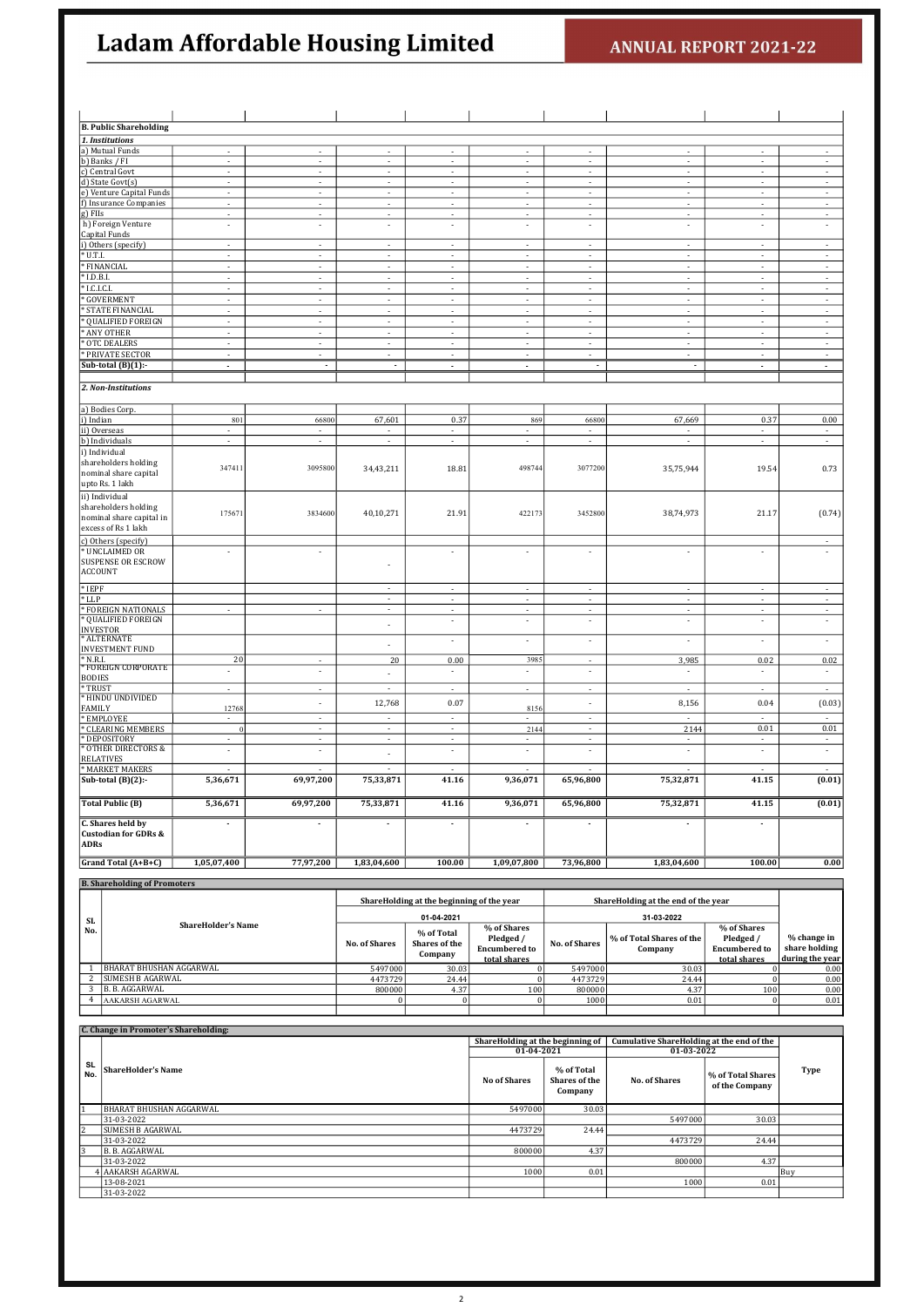| <b>B. Public Shareholding</b>                    |                                           |                                            |                                            |                                    |                                  |                                    |                                  |                                  |                                                      |
|--------------------------------------------------|-------------------------------------------|--------------------------------------------|--------------------------------------------|------------------------------------|----------------------------------|------------------------------------|----------------------------------|----------------------------------|------------------------------------------------------|
| 1. Institutions                                  |                                           |                                            |                                            |                                    |                                  |                                    |                                  |                                  |                                                      |
| a) Mutual Funds                                  |                                           |                                            |                                            |                                    |                                  |                                    |                                  |                                  |                                                      |
| b) Banks / FI                                    |                                           |                                            | $\overline{\phantom{a}}$                   | ÷                                  |                                  |                                    | $\overline{a}$                   | $\overline{a}$                   |                                                      |
| c) Central Govt                                  |                                           |                                            | $\overline{\phantom{a}}$                   |                                    |                                  |                                    |                                  | $\overline{\phantom{a}}$         | $\overline{\phantom{a}}$<br>$\overline{\phantom{a}}$ |
| d) State Govt(s)<br>e) Venture Capital Funds     | $\overline{\phantom{a}}$                  | $\overline{\phantom{a}}$                   | $\overline{\phantom{a}}$                   | $\overline{\phantom{a}}$           | $\overline{\phantom{a}}$         | $\overline{\phantom{a}}$           | $\overline{\phantom{a}}$         | $\overline{\phantom{a}}$         | ÷                                                    |
| f) Insurance Companies                           | $\overline{\phantom{a}}$                  | $\overline{\phantom{a}}$                   | $\overline{\phantom{a}}$                   | $\overline{\phantom{a}}$           | $\overline{\phantom{a}}$         | $\overline{\phantom{a}}$           | $\overline{\phantom{a}}$         | $\overline{\phantom{a}}$         | $\overline{\phantom{a}}$                             |
| g) FIIs                                          | $\overline{\phantom{a}}$                  | $\overline{\phantom{a}}$                   | $\overline{\phantom{a}}$                   | $\overline{\phantom{a}}$           | $\overline{\phantom{a}}$         | $\overline{\phantom{a}}$           | $\overline{\phantom{a}}$         | $\overline{\phantom{a}}$         | $\overline{\phantom{a}}$                             |
| h) Foreign Venture                               | $\overline{\phantom{a}}$                  | ÷                                          | $\sim$                                     | $\overline{\phantom{a}}$           | $\overline{\phantom{a}}$         | $\overline{\phantom{a}}$           | ÷                                | ÷                                | $\overline{\phantom{a}}$                             |
| Capital Funds<br>i) Others (specify)             | $\overline{\phantom{a}}$                  | $\overline{\phantom{a}}$                   | $\overline{\phantom{a}}$                   | $\overline{\phantom{a}}$           | $\overline{\phantom{a}}$         | $\overline{\phantom{a}}$           | $\overline{\phantom{a}}$         | $\overline{\phantom{a}}$         | $\overline{\phantom{a}}$                             |
| U.T.I.                                           | $\overline{\phantom{a}}$                  | $\overline{\phantom{a}}$                   | $\sim$                                     | $\overline{\phantom{a}}$           | $\overline{\phantom{a}}$         | $\overline{\phantom{a}}$           | $\sim$                           | $\overline{\phantom{a}}$         | $\mathcal{L}_{\mathcal{A}}$                          |
| FINANCIAL                                        | ÷,                                        | $\sim$                                     | $\sim$                                     | $\sim$                             | $\sim$                           | $\sim$                             | $\sim$                           | $\sim$                           | $\mathcal{L}_{\mathcal{A}}$                          |
| I.D.B.I.                                         | ÷,                                        | $\sim$                                     | $\sim$                                     | $\sim$                             | ÷,                               | $\sim$                             | $\sim$                           | $\sim$                           | $\mathcal{L}_{\mathcal{A}}$                          |
| LC.LC.I                                          | $\overline{a}$                            | $\overline{a}$                             | $\mathcal{L}$                              | ÷                                  | $\mathcal{L}$                    | $\mathcal{L}$                      | ÷                                | $\mathcal{L}$                    | Ŧ                                                    |
| GOVERMENT                                        | ÷,                                        | $\overline{a}$                             | ÷                                          | ÷                                  | $\overline{\phantom{a}}$         | $\mathcal{L}$                      | L.                               | $\overline{a}$                   | τ                                                    |
| STATE FINANCIAL<br><b>QUALIFIED FOREIGN</b>      | ÷,                                        | ÷                                          | $\sim$                                     | ÷                                  | $\overline{a}$                   | $\sim$                             | ÷<br>÷                           | ÷<br>$\overline{\phantom{a}}$    | ÷,                                                   |
| ANY OTHER                                        |                                           |                                            | $\blacksquare$<br>$\overline{\phantom{a}}$ | ÷                                  |                                  | $\overline{\phantom{a}}$           | $\frac{1}{2}$                    |                                  | $\overline{\phantom{a}}$<br>$\overline{\phantom{a}}$ |
| <b>OTC DEALERS</b>                               | $\overline{\phantom{a}}$                  | $\overline{\phantom{a}}$                   | $\sim$                                     | ÷                                  | $\overline{\phantom{a}}$         | $\sim$                             | ÷                                | ÷                                | $\sim$                                               |
| PRIVATE SECTOR                                   | $\overline{\phantom{a}}$                  | $\mathbb{L}$                               | $\sim$                                     | $\overline{\phantom{a}}$           | $\Box$                           | $\sim$                             | $\overline{\phantom{a}}$         | $\overline{\phantom{a}}$         | $\overline{\phantom{a}}$                             |
| Sub-total $(B)(1)$ :                             | ä,                                        | $\sim$                                     | ×.                                         | ÷,                                 | ä,                               | ÷.                                 | ×.                               | $\mathbf{r}$                     | $\mathcal{L}^{\mathcal{L}}$                          |
|                                                  |                                           |                                            |                                            |                                    |                                  |                                    |                                  |                                  |                                                      |
| 2. Non-Institutions                              |                                           |                                            |                                            |                                    |                                  |                                    |                                  |                                  |                                                      |
| a) Bodies Corp.                                  |                                           |                                            |                                            |                                    |                                  |                                    |                                  |                                  |                                                      |
| i) Indian                                        | 801                                       | 66800                                      | 67,601                                     | 0.37                               | 869                              | 66800                              | 67,669                           | 0.37                             | 0.00                                                 |
| ii) Overseas                                     |                                           |                                            |                                            |                                    |                                  |                                    |                                  |                                  | $\overline{\phantom{a}}$                             |
| b) Individuals                                   |                                           |                                            |                                            |                                    |                                  |                                    |                                  |                                  | ÷                                                    |
| i) Individual                                    |                                           |                                            |                                            |                                    |                                  |                                    |                                  |                                  |                                                      |
| shareholders holding<br>nominal share capital    | 347411                                    | 3095800                                    | 34,43,211                                  | 18.81                              | 498744                           | 3077200                            | 35,75,944                        | 19.54                            | 0.73                                                 |
| upto Rs. 1 lakh                                  |                                           |                                            |                                            |                                    |                                  |                                    |                                  |                                  |                                                      |
| ii) Individual                                   |                                           |                                            |                                            |                                    |                                  |                                    |                                  |                                  |                                                      |
| shareholders holding                             |                                           |                                            |                                            |                                    |                                  |                                    |                                  |                                  |                                                      |
| nominal share capital in                         | 175671                                    | 3834600                                    | 40,10,271                                  | 21.91                              | 422173                           | 3452800                            | 38,74,973                        | 21.17                            | (0.74)                                               |
| excess of Rs 1 lakh                              |                                           |                                            |                                            |                                    |                                  |                                    |                                  |                                  |                                                      |
| c) Others (specify)                              |                                           |                                            |                                            |                                    |                                  |                                    |                                  |                                  | $\overline{\phantom{a}}$                             |
| <b>UNCLAIMED OR</b><br><b>SUSPENSE OR ESCROW</b> |                                           | $\overline{\phantom{a}}$                   |                                            | ÷                                  | $\overline{\phantom{a}}$         | $\overline{\phantom{a}}$           | ÷                                | ÷                                | $\overline{a}$                                       |
| <b>ACCOUNT</b>                                   |                                           |                                            | ÷                                          |                                    |                                  |                                    |                                  |                                  |                                                      |
|                                                  |                                           |                                            |                                            |                                    |                                  |                                    |                                  |                                  |                                                      |
| $*$ IEPF<br>$*$ LLP                              |                                           |                                            | $\sim$<br>$\sim$                           | $\sim$<br>×,                       | $\sim$<br>÷,                     | $\sim$<br>$\sim$                   | $\sim$<br>×,                     | $\sim$<br>$\sim$                 | $\sim$<br>$\overline{\phantom{a}}$                   |
| <b>FOREIGN NATIONALS</b>                         | ÷,                                        | $\sim$                                     | $\sim$                                     |                                    | $\overline{a}$                   | $\sim$                             |                                  | $\overline{a}$                   | $\overline{\phantom{a}}$                             |
| QUALIFIED FOREIGN                                |                                           |                                            | ÷,                                         | $\overline{\phantom{a}}$           | $\overline{\phantom{a}}$         | $\overline{\phantom{a}}$           | ÷,                               | $\overline{\phantom{a}}$         | $\overline{\phantom{a}}$                             |
| <b>INVESTOR</b>                                  |                                           |                                            |                                            |                                    |                                  |                                    |                                  |                                  |                                                      |
| <b>ALTERNATE</b><br><b>INVESTMENT FUND</b>       |                                           |                                            | ÷,                                         | $\sim$                             | $\blacksquare$                   | $\overline{\phantom{a}}$           | $\overline{\phantom{a}}$         | $\overline{\phantom{a}}$         | $\overline{\phantom{a}}$                             |
| N.R.I.                                           | 20                                        | $\overline{\phantom{a}}$                   | $20\,$                                     | 0.00                               | 3985                             |                                    | 3,985                            | 0.02                             | 0.02                                                 |
| * FOREIGN CORPORATE                              | $\overline{\phantom{a}}$                  | $\overline{\phantom{a}}$                   | ÷                                          | $\overline{\phantom{a}}$           | ÷                                | $\overline{\phantom{a}}$           | $\overline{\phantom{a}}$         | $\overline{a}$                   | $\overline{\phantom{a}}$                             |
| <b>BODIES</b><br>* TRUST                         | $\overline{a}$                            | $\overline{a}$                             | τ                                          | L,                                 | ÷.                               | ÷                                  | ÷,                               | $\overline{a}$                   | $\mathcal{L}$                                        |
| * HINDU UNDIVIDED                                |                                           |                                            |                                            |                                    |                                  |                                    |                                  |                                  |                                                      |
| <b>FAMILY</b>                                    | 12768                                     | L,                                         | 12,768                                     | 0.07                               | 8156                             | ÷                                  | 8,156                            | 0.04                             | (0.03)                                               |
| EMPLOYEE                                         | $\mathcal{L}_{\mathcal{A}}$               | $\overline{\phantom{a}}$                   | $\sim$                                     | $\sim$                             | ×.                               | $\sim$                             | $\sim$                           | $\overline{a}$                   | $\mathcal{L}_{\mathcal{A}}$                          |
| * CLEARING MEMBERS<br>* DEPOSITORY               | $\mathcal{L}$<br>$\overline{\phantom{a}}$ | $\overline{\phantom{a}}$<br>$\blacksquare$ | $\sim$<br>$\sim$                           | $\sim$<br>$\overline{\phantom{a}}$ | 2144<br>$\overline{\phantom{a}}$ | $\sim$<br>$\overline{\phantom{a}}$ | 2144<br>$\overline{\phantom{a}}$ | 0.01<br>$\overline{\phantom{a}}$ | 0.01<br>$\sim$                                       |
| OTHER DIRECTORS &                                | $\overline{\phantom{a}}$                  | $\overline{a}$                             |                                            | ÷,                                 | $\overline{a}$                   | $\overline{\phantom{a}}$           | ÷,                               | $\overline{\phantom{a}}$         | $\Box$                                               |
| <b>RELATIVES</b>                                 |                                           |                                            | $\overline{\phantom{a}}$                   |                                    |                                  |                                    |                                  |                                  |                                                      |
| <b>MARKET MAKERS</b>                             |                                           |                                            |                                            |                                    |                                  |                                    |                                  |                                  | $\overline{\phantom{a}}$                             |
| Sub-total $(B)(2)$ :-                            | 5,36,671                                  | 69,97,200                                  | 75,33,871                                  | 41.16                              | 9,36,071                         | 65,96,800                          | 75,32,871                        | 41.15                            | (0.01)                                               |
| <b>Total Public (B)</b>                          | 5,36,671                                  | 69,97,200                                  | 75,33,871                                  | 41.16                              | 9,36,071                         | 65,96,800                          | 75,32,871                        | 41.15                            | (0.01)                                               |
| C. Shares held by                                |                                           | ٠                                          | $\blacksquare$                             |                                    | ٠                                | ٠                                  |                                  | ۰                                |                                                      |
| <b>Custodian for GDRs &amp;</b><br><b>ADRs</b>   |                                           |                                            |                                            |                                    |                                  |                                    |                                  |                                  |                                                      |
| Grand Total (A+B+C)                              | 1,05,07,400                               | 77,97,200                                  | 1,83,04,600                                | 100.00                             | 1,09,07,800                      | 73,96,800                          | 1,83,04,600                      | 100.00                           | 0.00                                                 |
|                                                  |                                           |                                            |                                            |                                    |                                  |                                    |                                  |                                  |                                                      |

| <b>B. Shareholding of Promoters</b> |                           |                      |                                                         |                                                                  |                                     |                                     |                                                                  |                                                 |  |
|-------------------------------------|---------------------------|----------------------|---------------------------------------------------------|------------------------------------------------------------------|-------------------------------------|-------------------------------------|------------------------------------------------------------------|-------------------------------------------------|--|
| SL.                                 |                           |                      | ShareHolding at the beginning of the year<br>01-04-2021 |                                                                  | ShareHolding at the end of the year |                                     |                                                                  |                                                 |  |
| No.                                 | <b>ShareHolder's Name</b> | <b>No. of Shares</b> | % of Total<br>Shares of the<br>Company                  | % of Shares<br>Pledged /<br><b>Encumbered to</b><br>total shares | <b>No. of Shares</b>                | % of Total Shares of the<br>Company | % of Shares<br>Pledged /<br><b>Encumbered to</b><br>total shares | % change in<br>share holding<br>during the year |  |
|                                     | BHARAT BHUSHAN AGGARWAL   | 5497000              | 30.03                                                   |                                                                  | 5497000                             | 30.03                               |                                                                  | 0.00                                            |  |
|                                     | <b>SUMESH B AGARWAL</b>   | 4473729              | 24.44                                                   |                                                                  | 4473729                             | 24.44                               |                                                                  | 0.00                                            |  |
|                                     | B. B. AGGARWAL            | 800000               | 4.37                                                    | 100                                                              | 800000                              | 4.37                                | 100                                                              | 0.00                                            |  |
|                                     | <b>AAKARSH AGARWAL</b>    |                      |                                                         |                                                                  | 1000                                | 0.01                                |                                                                  | 0.01                                            |  |
|                                     |                           |                      |                                                         |                                                                  |                                     |                                     |                                                                  |                                                 |  |

|           | C. Change in Promoter's Shareholding: |                                  |                                        |                                                  |                                     |             |  |
|-----------|---------------------------------------|----------------------------------|----------------------------------------|--------------------------------------------------|-------------------------------------|-------------|--|
|           |                                       | ShareHolding at the beginning of |                                        | <b>Cumulative ShareHolding at the end of the</b> |                                     |             |  |
|           |                                       | 01-04-2021                       |                                        |                                                  | 01-03-2022                          |             |  |
| SL<br>No. | ShareHolder's Name                    | No of Shares                     | % of Total<br>Shares of the<br>Company | <b>No. of Shares</b>                             | % of Total Shares<br>of the Company | <b>Type</b> |  |
|           | <b>BHARAT BHUSHAN AGGARWAL</b>        | 5497000                          | 30.03                                  |                                                  |                                     |             |  |
|           | 31-03-2022                            |                                  |                                        | 5497000                                          | 30.03                               |             |  |
|           | <b>SUMESH B AGARWAL</b>               | 4473729                          | 24.44                                  |                                                  |                                     |             |  |
|           | 31-03-2022                            |                                  |                                        | 4473729                                          | 24.44                               |             |  |
| 13        | B. B. AGGARWAL                        | 800000                           | 4.37                                   |                                                  |                                     |             |  |
|           | 31-03-2022                            |                                  |                                        | 800000                                           | 4.37                                |             |  |
|           | AAKARSH AGARWAL                       | 1000                             | 0.01                                   |                                                  |                                     | Buy         |  |
|           | 13-08-2021                            |                                  |                                        | 1000                                             | 0.01                                |             |  |
|           | 31-03-2022                            |                                  |                                        |                                                  |                                     |             |  |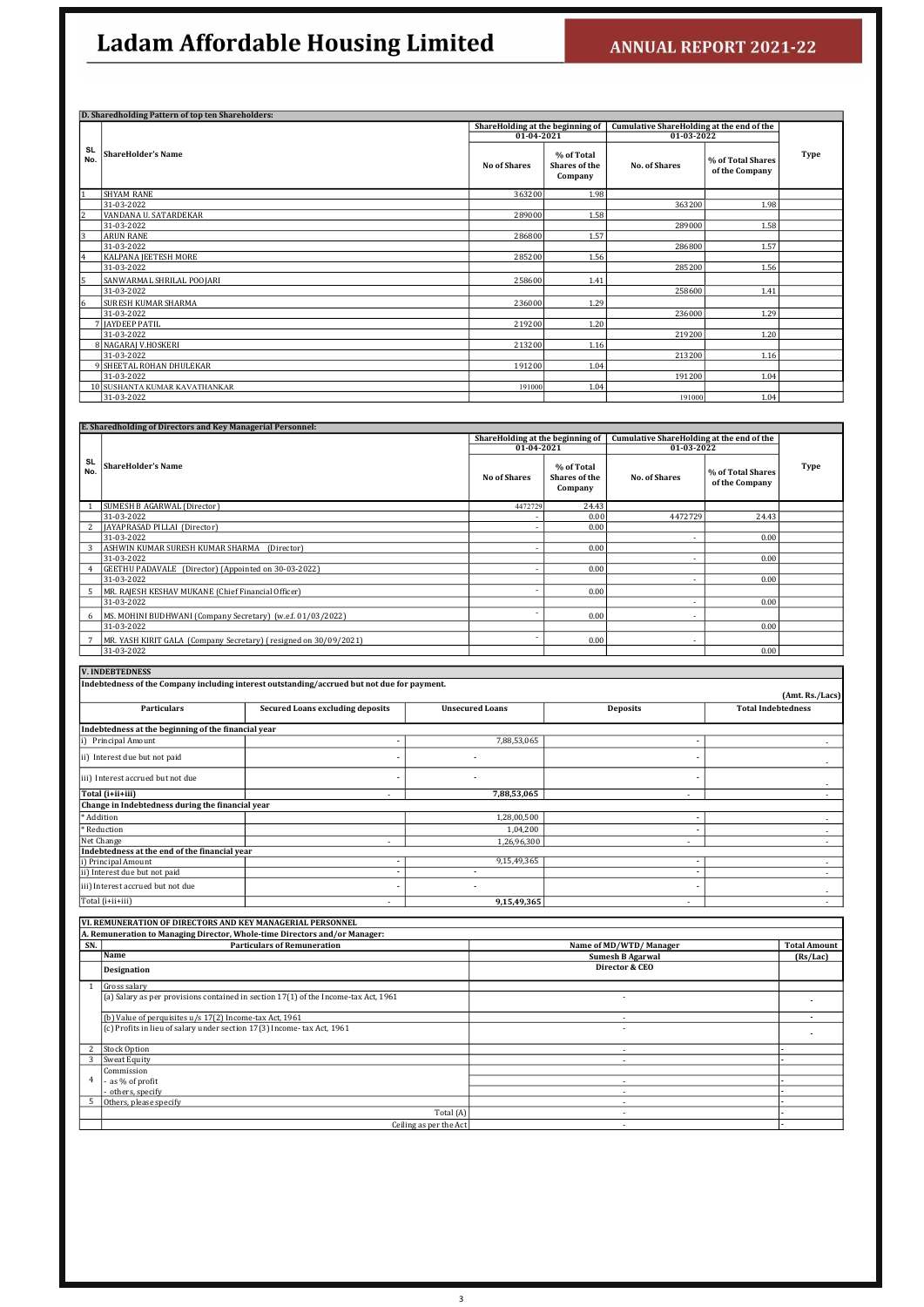|                  | D. Sharedholding Pattern of top ten Shareholders: |                                  |                                               |                                           |                                     |      |
|------------------|---------------------------------------------------|----------------------------------|-----------------------------------------------|-------------------------------------------|-------------------------------------|------|
|                  |                                                   | ShareHolding at the beginning of |                                               | Cumulative ShareHolding at the end of the |                                     |      |
|                  |                                                   | 01-04-2021                       |                                               | 01-03-2022                                |                                     |      |
| <b>SL</b><br>No. | <b>ShareHolder's Name</b>                         | <b>No of Shares</b>              | % of Total<br><b>Shares of the</b><br>Company | <b>No. of Shares</b>                      | % of Total Shares<br>of the Company | Type |
| $\mathbf{1}$     | <b>SHYAM RANE</b>                                 | 363200                           | 1.98                                          |                                           |                                     |      |
|                  | 31-03-2022                                        |                                  |                                               | 363200                                    | 1.98                                |      |
| 2                | VANDANA U. SATARDEKAR                             | 289000                           | 1.58                                          |                                           |                                     |      |
|                  | 31-03-2022                                        |                                  |                                               | 289000                                    | 1.58                                |      |
| $\overline{3}$   | <b>ARUN RANE</b>                                  | 286800                           | 1.57                                          |                                           |                                     |      |
|                  | 31-03-2022                                        |                                  |                                               | 286800                                    | 1.57                                |      |
| 4                | <b>KALPANA JEETESH MORE</b>                       | 285200                           | 1.56                                          |                                           |                                     |      |
|                  | 31-03-2022                                        |                                  |                                               | 285200                                    | 1.56                                |      |
| 5                | SANWARMAL SHRILAL POOJARI                         | 258600                           | 1.41                                          |                                           |                                     |      |
|                  | 31-03-2022                                        |                                  |                                               | 258600                                    | 1.41                                |      |
| 6                | <b>SURESH KUMAR SHARMA</b>                        | 236000                           | 1.29                                          |                                           |                                     |      |
|                  | 31-03-2022                                        |                                  |                                               | 236000                                    | 1.29                                |      |
|                  | <b>7 IAYDEEP PATIL</b>                            | 219200                           | 1.20                                          |                                           |                                     |      |
|                  | 31-03-2022                                        |                                  |                                               | 219200                                    | 1.20                                |      |
|                  | 8 NAGARAJ V.HOSKERI                               | 213200                           | 1.16                                          |                                           |                                     |      |
|                  | 31-03-2022                                        |                                  |                                               | 213200                                    | 1.16                                |      |
|                  | 9 SHEETAL ROHAN DHULEKAR                          | 191200                           | 1.04                                          |                                           |                                     |      |
|                  | 31-03-2022                                        |                                  |                                               | 191200                                    | 1.04                                |      |
|                  | 10 SUSHANTA KUMAR KAVATHANKAR                     | 191000                           | 1.04                                          |                                           |                                     |      |
|                  | 31-03-2022                                        |                                  |                                               | 191000                                    | 1.04                                |      |

|                  | E. Sharedholding of Directors and Key Managerial Personnel:      |                                                |                                               |                                                                |                                     |      |
|------------------|------------------------------------------------------------------|------------------------------------------------|-----------------------------------------------|----------------------------------------------------------------|-------------------------------------|------|
|                  |                                                                  | ShareHolding at the beginning of<br>01-04-2021 |                                               | <b>Cumulative ShareHolding at the end of the</b><br>01-03-2022 |                                     |      |
| <b>SL</b><br>No. | <b>ShareHolder's Name</b>                                        | <b>No of Shares</b>                            | % of Total<br><b>Shares of the</b><br>Company | <b>No. of Shares</b>                                           | % of Total Shares<br>of the Company | Type |
|                  | SUMESH B AGARWAL (Director)                                      | 4472729                                        | 24.43                                         |                                                                |                                     |      |
|                  | 31-03-2022                                                       |                                                | 0.00                                          | 4472729                                                        | 24.43                               |      |
|                  | JAYAPRASAD PILLAI (Director)                                     |                                                | 0.00                                          |                                                                |                                     |      |
|                  | 31-03-2022                                                       |                                                |                                               | $\overline{\phantom{a}}$                                       | 0.00                                |      |
| 3                | ASHWIN KUMAR SURESH KUMAR SHARMA (Director)                      |                                                | 0.00                                          |                                                                |                                     |      |
|                  | 31-03-2022                                                       |                                                |                                               | $\overline{\phantom{a}}$                                       | 0.00                                |      |
|                  | GEETHU PADAVALE (Director) (Appointed on 30-03-2022)             |                                                | 0.00                                          |                                                                |                                     |      |
|                  | 31-03-2022                                                       |                                                |                                               | $\overline{\phantom{a}}$                                       | 0.00                                |      |
| 5                | MR. RAJESH KESHAV MUKANE (Chief Financial Officer)               |                                                | 0.00                                          |                                                                |                                     |      |
|                  | 31-03-2022                                                       |                                                |                                               | $\overline{a}$                                                 | 0.00                                |      |
| 6                | MS. MOHINI BUDHWANI (Company Secretary) (w.e.f. 01/03/2022)      |                                                | 0.00                                          | $\overline{\phantom{a}}$                                       |                                     |      |
|                  | 31-03-2022                                                       |                                                |                                               |                                                                | 0.00                                |      |
|                  | MR. YASH KIRIT GALA (Company Secretary) (resigned on 30/09/2021) |                                                | 0.00                                          | $\overline{\phantom{0}}$                                       |                                     |      |
|                  | 31-03-2022                                                       |                                                |                                               |                                                                | 0.00                                |      |

| <b>V. INDEBTEDNESS</b>                              |                                                                                             |                        |                          |                           |  |  |  |  |  |  |
|-----------------------------------------------------|---------------------------------------------------------------------------------------------|------------------------|--------------------------|---------------------------|--|--|--|--|--|--|
|                                                     | Indebtedness of the Company including interest outstanding/accrued but not due for payment. |                        |                          |                           |  |  |  |  |  |  |
|                                                     | (Amt. Rs./Lacs)                                                                             |                        |                          |                           |  |  |  |  |  |  |
| <b>Particulars</b>                                  | <b>Secured Loans excluding deposits</b>                                                     | <b>Unsecured Loans</b> | <b>Deposits</b>          | <b>Total Indebtedness</b> |  |  |  |  |  |  |
|                                                     |                                                                                             |                        |                          |                           |  |  |  |  |  |  |
| Indebtedness at the beginning of the financial year |                                                                                             |                        |                          |                           |  |  |  |  |  |  |
| Principal Amount                                    |                                                                                             | 7,88,53,065            |                          |                           |  |  |  |  |  |  |
| ii) Interest due but not paid                       |                                                                                             |                        |                          | $\sim$                    |  |  |  |  |  |  |
| iii) Interest accrued but not due                   |                                                                                             |                        |                          | ۰.                        |  |  |  |  |  |  |
| Total (i+ii+iii)                                    |                                                                                             | 7,88,53,065            | ٠                        | $\overline{\phantom{a}}$  |  |  |  |  |  |  |
| Change in Indebtedness during the financial year    |                                                                                             |                        |                          |                           |  |  |  |  |  |  |
| * Addition                                          |                                                                                             | 1,28,00,500            |                          |                           |  |  |  |  |  |  |
| * Reduction                                         |                                                                                             | 1,04,200               |                          |                           |  |  |  |  |  |  |
| Net Change                                          |                                                                                             | 1,26,96,300            | $\overline{\phantom{a}}$ |                           |  |  |  |  |  |  |
| Indebtedness at the end of the financial year       |                                                                                             |                        |                          |                           |  |  |  |  |  |  |
| i) Principal Amount                                 | ٠                                                                                           | 9,15,49,365            |                          | $\overline{\phantom{a}}$  |  |  |  |  |  |  |
| ii) Interest due but not paid                       |                                                                                             | ۰                      |                          |                           |  |  |  |  |  |  |
| iii) Interest accrued but not due                   |                                                                                             | ٠                      |                          | $\sim$                    |  |  |  |  |  |  |
| Total (i+ii+iii)                                    | $\overline{\phantom{a}}$                                                                    | 9,15,49,365            | $\overline{\phantom{a}}$ |                           |  |  |  |  |  |  |

| VI. REMUNERATION OF DIRECTORS AND KEY MANAGERIAL PERSONNEL                 |  |
|----------------------------------------------------------------------------|--|
| A. Remuneration to Managing Director, Whole-time Directors and/or Manager: |  |

| SN. | <b>Particulars of Remuneration</b>                                                    | Name of MD/WTD/Manager  | <b>Total Amount</b> |
|-----|---------------------------------------------------------------------------------------|-------------------------|---------------------|
|     | Name                                                                                  | <b>Sumesh B Agarwal</b> | (Rs/Lac)            |
|     | Designation                                                                           | Director & CEO          |                     |
|     | Gross salary                                                                          |                         |                     |
|     | $(a)$ Salary as per provisions contained in section 17(1) of the Income-tax Act, 1961 |                         |                     |
|     | (b) Value of perquisites u/s 17(2) Income-tax Act, 1961                               |                         |                     |
|     | $(c)$ Profits in lieu of salary under section 17(3) Income-tax Act, 1961              | ٠                       |                     |
| 2   | <b>Stock Option</b>                                                                   |                         |                     |
|     | Sweat Equity                                                                          | $\sim$                  |                     |
|     | Commission                                                                            |                         |                     |
| 4   | as % of profit                                                                        |                         |                     |
|     | others, specify                                                                       | . .                     |                     |
|     | Others, please specify                                                                |                         |                     |
|     | Total (A)                                                                             |                         |                     |
|     | Ceiling as per the Act                                                                |                         |                     |